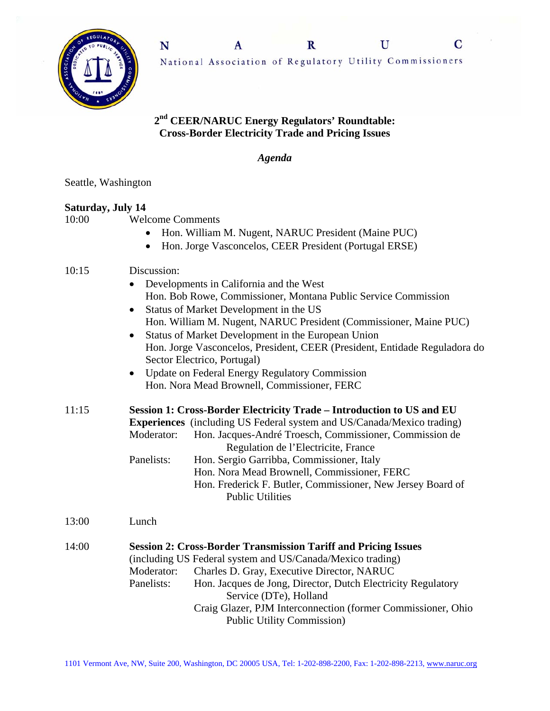

## **2nd CEER/NARUC Energy Regulators' Roundtable: Cross-Border Electricity Trade and Pricing Issues**

*Agenda* 

Seattle, Washington

## **Saturday, July 14**

10:00 Welcome Comments

- Hon. William M. Nugent, NARUC President (Maine PUC)
- Hon. Jorge Vasconcelos, CEER President (Portugal ERSE)

## 10:15 Discussion:

- Developments in California and the West Hon. Bob Rowe, Commissioner, Montana Public Service Commission
- Status of Market Development in the US Hon. William M. Nugent, NARUC President (Commissioner, Maine PUC)
- Status of Market Development in the European Union Hon. Jorge Vasconcelos, President, CEER (President, Entidade Reguladora do Sector Electrico, Portugal)
- Update on Federal Energy Regulatory Commission Hon. Nora Mead Brownell, Commissioner, FERC

11:15 **Session 1: Cross-Border Electricity Trade – Introduction to US and EU Experiences** (including US Federal system and US/Canada/Mexico trading) Moderator: Hon. Jacques-André Troesch, Commissioner, Commission de Regulation de l'Electricite, France Panelists: Hon. Sergio Garribba, Commissioner, Italy Hon. Nora Mead Brownell, Commissioner, FERC Hon. Frederick F. Butler, Commissioner, New Jersey Board of Public Utilities

13:00 Lunch

14:00 **Session 2: Cross-Border Transmission Tariff and Pricing Issues** (including US Federal system and US/Canada/Mexico trading) Moderator: Charles D. Gray, Executive Director, NARUC Panelists: Hon. Jacques de Jong, Director, Dutch Electricity Regulatory Service (DTe), Holland Craig Glazer, PJM Interconnection (former Commissioner, Ohio Public Utility Commission)